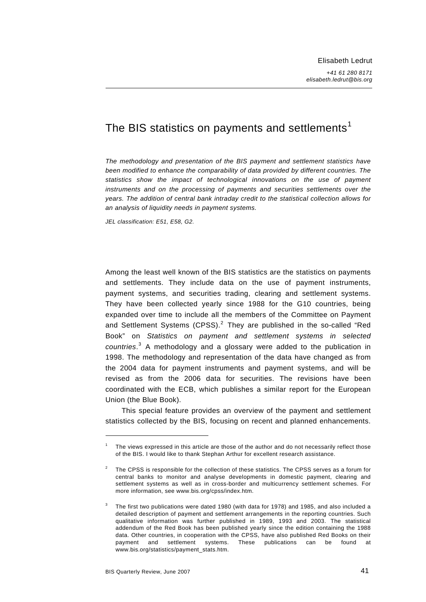# The BIS statistics on payments and settlements<sup>[1](#page-0-0)</sup>

*The methodology and presentation of the BIS payment and settlement statistics have been modified to enhance the comparability of data provided by different countries. The statistics show the impact of technological innovations on the use of payment instruments and on the processing of payments and securities settlements over the years. The addition of central bank intraday credit to the statistical collection allows for an analysis of liquidity needs in payment systems.* 

*JEL classification: E51, E58, G2.* 

Among the least well known of the BIS statistics are the statistics on payments and settlements. They include data on the use of payment instruments, payment systems, and securities trading, clearing and settlement systems. They have been collected yearly since 1988 for the G10 countries, being expanded over time to include all the members of the Committee on Payment and Settlement Systems  $(CPSS)$ .<sup>[2](#page-0-1)</sup> They are published in the so-called "Red Book" on *Statistics on payment and settlement systems in selected countries*. [3](#page-0-2) A methodology and a glossary were added to the publication in 1998. The methodology and representation of the data have changed as from the 2004 data for payment instruments and payment systems, and will be revised as from the 2006 data for securities. The revisions have been coordinated with the ECB, which publishes a similar report for the European Union (the Blue Book).

This special feature provides an overview of the payment and settlement statistics collected by the BIS, focusing on recent and planned enhancements.

-

<span id="page-0-0"></span>The views expressed in this article are those of the author and do not necessarily reflect those of the BIS. I would like to thank Stephan Arthur for excellent research assistance.

<span id="page-0-1"></span> $2^2$  The CPSS is responsible for the collection of these statistics. The CPSS serves as a forum for central banks to monitor and analyse developments in domestic payment, clearing and settlement systems as well as in cross-border and multicurrency settlement schemes. For more information, see www.bis.org/cpss/index.htm.

<span id="page-0-2"></span>The first two publications were dated 1980 (with data for 1978) and 1985, and also included a detailed description of payment and settlement arrangements in the reporting countries. Such qualitative information was further published in 1989, 1993 and 2003. The statistical addendum of the Red Book has been published yearly since the edition containing the 1988 data. Other countries, in cooperation with the CPSS, have also published Red Books on their payment and settlement systems. These publications can be found at www.bis.org/statistics/payment\_stats.htm.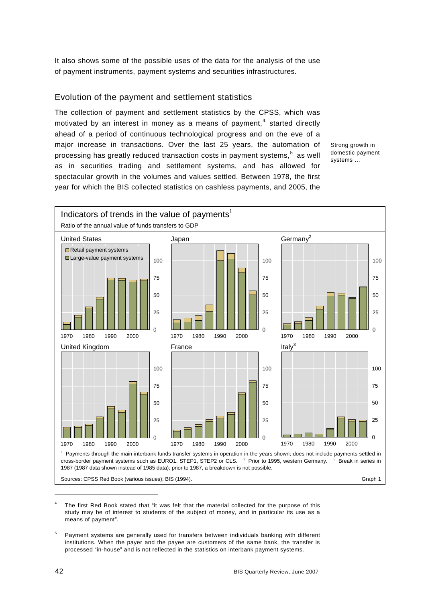It also shows some of the possible uses of the data for the analysis of the use of payment instruments, payment systems and securities infrastructures.

# Evolution of the payment and settlement statistics

The collection of payment and settlement statistics by the CPSS, which was motivated by an interest in money as a means of payment, $4$  started directly ahead of a period of continuous technological progress and on the eve of a major increase in transactions. Over the last 25 years, the automation of processing has greatly reduced transaction costs in payment systems,<sup>[5](#page-1-1)</sup> as well as in securities trading and settlement systems, and has allowed for spectacular growth in the volumes and values settled. Between 1978, the first year for which the BIS collected statistics on cashless payments, and 2005, the

Strong growth in domestic payment systems …



<span id="page-1-0"></span>4 The first Red Book stated that "it was felt that the material collected for the purpose of this study may be of interest to students of the subject of money, and in particular its use as a means of payment".

<span id="page-1-1"></span>5 Payment systems are generally used for transfers between individuals banking with different institutions. When the payer and the payee are customers of the same bank, the transfer is processed "in-house" and is not reflected in the statistics on interbank payment systems.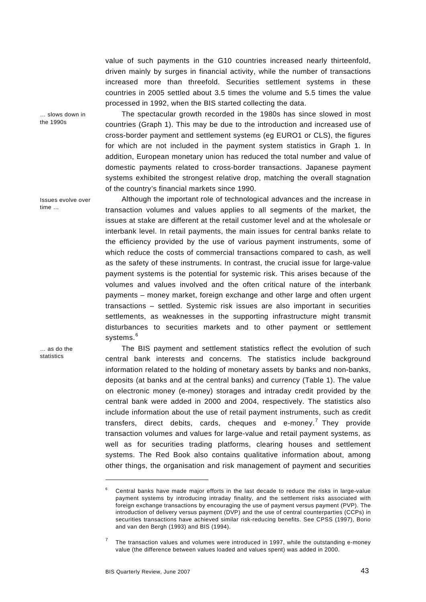value of such payments in the G10 countries increased nearly thirteenfold, driven mainly by surges in financial activity, while the number of transactions increased more than threefold. Securities settlement systems in these countries in 2005 settled about 3.5 times the volume and 5.5 times the value processed in 1992, when the BIS started collecting the data.

… slows down in the 1990s

Issues evolve over

time …

The spectacular growth recorded in the 1980s has since slowed in most countries (Graph 1). This may be due to the introduction and increased use of cross-border payment and settlement systems (eg EURO1 or CLS), the figures for which are not included in the payment system statistics in Graph 1. In addition, European monetary union has reduced the total number and value of domestic payments related to cross-border transactions. Japanese payment systems exhibited the strongest relative drop, matching the overall stagnation of the country's financial markets since 1990.

Although the important role of technological advances and the increase in transaction volumes and values applies to all segments of the market, the issues at stake are different at the retail customer level and at the wholesale or interbank level. In retail payments, the main issues for central banks relate to the efficiency provided by the use of various payment instruments, some of which reduce the costs of commercial transactions compared to cash, as well as the safety of these instruments. In contrast, the crucial issue for large-value payment systems is the potential for systemic risk. This arises because of the volumes and values involved and the often critical nature of the interbank payments – money market, foreign exchange and other large and often urgent transactions – settled. Systemic risk issues are also important in securities settlements, as weaknesses in the supporting infrastructure might transmit disturbances to securities markets and to other payment or settlement systems.<sup>[6](#page-2-0)</sup>

The BIS payment and settlement statistics reflect the evolution of such central bank interests and concerns. The statistics include background information related to the holding of monetary assets by banks and non-banks, deposits (at banks and at the central banks) and currency (Table 1). The value on electronic money (e-money) storages and intraday credit provided by the central bank were added in 2000 and 2004, respectively. The statistics also include information about the use of retail payment instruments, such as credit transfers, direct debits, cards, cheques and e-money.<sup>[7](#page-2-1)</sup> They provide transaction volumes and values for large-value and retail payment systems, as well as for securities trading platforms, clearing houses and settlement systems. The Red Book also contains qualitative information about, among other things, the organisation and risk management of payment and securities

1

… as do the statistics

<span id="page-2-0"></span><sup>6</sup> Central banks have made major efforts in the last decade to reduce the risks in large-value payment systems by introducing intraday finality, and the settlement risks associated with foreign exchange transactions by encouraging the use of payment versus payment (PVP). The introduction of delivery versus payment (DVP) and the use of central counterparties (CCPs) in securities transactions have achieved similar risk-reducing benefits. See CPSS (1997), Borio and van den Bergh (1993) and BIS (1994).

<span id="page-2-1"></span><sup>7</sup> The transaction values and volumes were introduced in 1997, while the outstanding e-money value (the difference between values loaded and values spent) was added in 2000.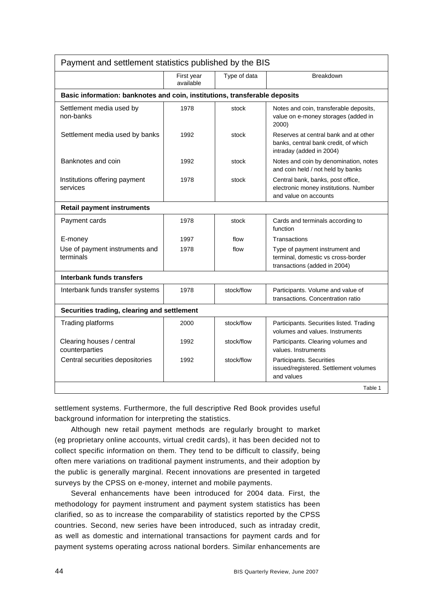| Payment and settlement statistics published by the BIS                     |                         |              |                                                                                                           |  |  |
|----------------------------------------------------------------------------|-------------------------|--------------|-----------------------------------------------------------------------------------------------------------|--|--|
|                                                                            | First year<br>available | Type of data | <b>Breakdown</b>                                                                                          |  |  |
| Basic information: banknotes and coin, institutions, transferable deposits |                         |              |                                                                                                           |  |  |
| Settlement media used by<br>non-banks                                      | 1978                    | stock        | Notes and coin, transferable deposits,<br>value on e-money storages (added in<br>2000)                    |  |  |
| Settlement media used by banks                                             | 1992                    | stock        | Reserves at central bank and at other<br>banks, central bank credit, of which<br>intraday (added in 2004) |  |  |
| Banknotes and coin                                                         | 1992                    | stock        | Notes and coin by denomination, notes<br>and coin held / not held by banks                                |  |  |
| Institutions offering payment<br>services                                  | 1978                    | stock        | Central bank, banks, post office,<br>electronic money institutions. Number<br>and value on accounts       |  |  |
| <b>Retail payment instruments</b>                                          |                         |              |                                                                                                           |  |  |
| Payment cards                                                              | 1978                    | stock        | Cards and terminals according to<br>function                                                              |  |  |
| E-money                                                                    | 1997                    | flow         | Transactions                                                                                              |  |  |
| Use of payment instruments and<br>terminals                                | 1978                    | flow         | Type of payment instrument and<br>terminal, domestic vs cross-border<br>transactions (added in 2004)      |  |  |
| Interbank funds transfers                                                  |                         |              |                                                                                                           |  |  |
| Interbank funds transfer systems                                           | 1978                    | stock/flow   | Participants. Volume and value of<br>transactions. Concentration ratio                                    |  |  |
| Securities trading, clearing and settlement                                |                         |              |                                                                                                           |  |  |
| Trading platforms                                                          | 2000                    | stock/flow   | Participants. Securities listed. Trading<br>volumes and values. Instruments                               |  |  |
| Clearing houses / central<br>counterparties                                | 1992                    | stock/flow   | Participants. Clearing volumes and<br>values. Instruments                                                 |  |  |
| Central securities depositories                                            | 1992                    | stock/flow   | Participants. Securities<br>issued/registered. Settlement volumes<br>and values                           |  |  |
|                                                                            |                         |              | Table 1                                                                                                   |  |  |

settlement systems. Furthermore, the full descriptive Red Book provides useful background information for interpreting the statistics.

Although new retail payment methods are regularly brought to market (eg proprietary online accounts, virtual credit cards), it has been decided not to collect specific information on them. They tend to be difficult to classify, being often mere variations on traditional payment instruments, and their adoption by the public is generally marginal. Recent innovations are presented in targeted surveys by the CPSS on e-money, internet and mobile payments.

Several enhancements have been introduced for 2004 data. First, the methodology for payment instrument and payment system statistics has been clarified, so as to increase the comparability of statistics reported by the CPSS countries. Second, new series have been introduced, such as intraday credit, as well as domestic and international transactions for payment cards and for payment systems operating across national borders. Similar enhancements are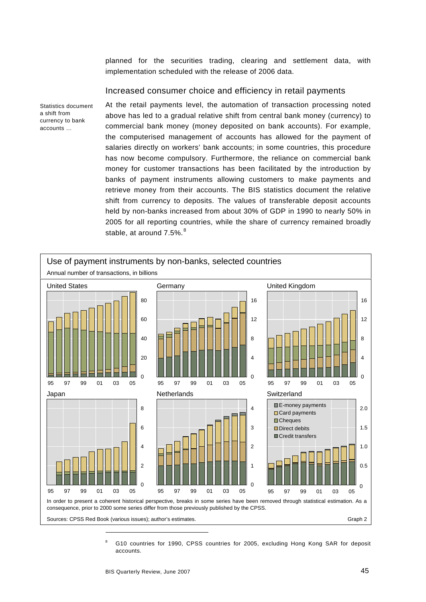planned for the securities trading, clearing and settlement data, with implementation scheduled with the release of 2006 data.

# Increased consumer choice and efficiency in retail payments

Statistics document a shift from currency to bank accounts …

At the retail payments level, the automation of transaction processing noted above has led to a gradual relative shift from central bank money (currency) to commercial bank money (money deposited on bank accounts). For example, the computerised management of accounts has allowed for the payment of salaries directly on workers' bank accounts; in some countries, this procedure has now become compulsory. Furthermore, the reliance on commercial bank money for customer transactions has been facilitated by the introduction by banks of payment instruments allowing customers to make payments and retrieve money from their accounts. The BIS statistics document the relative shift from currency to deposits. The values of transferable deposit accounts held by non-banks increased from about 30% of GDP in 1990 to nearly 50% in 2005 for all reporting countries, while the share of currency remained broadly stable, at around 7.5%. $8$ 



<span id="page-4-0"></span>8 G10 countries for 1990, CPSS countries for 2005, excluding Hong Kong SAR for deposit accounts.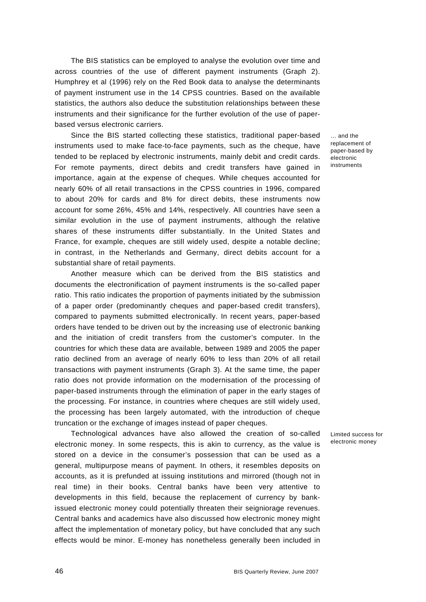The BIS statistics can be employed to analyse the evolution over time and across countries of the use of different payment instruments (Graph 2). Humphrey et al (1996) rely on the Red Book data to analyse the determinants of payment instrument use in the 14 CPSS countries. Based on the available statistics, the authors also deduce the substitution relationships between these instruments and their significance for the further evolution of the use of paperbased versus electronic carriers.

Since the BIS started collecting these statistics, traditional paper-based instruments used to make face-to-face payments, such as the cheque, have tended to be replaced by electronic instruments, mainly debit and credit cards. For remote payments, direct debits and credit transfers have gained in importance, again at the expense of cheques. While cheques accounted for nearly 60% of all retail transactions in the CPSS countries in 1996, compared to about 20% for cards and 8% for direct debits, these instruments now account for some 26%, 45% and 14%, respectively. All countries have seen a similar evolution in the use of payment instruments, although the relative shares of these instruments differ substantially. In the United States and France, for example, cheques are still widely used, despite a notable decline; in contrast, in the Netherlands and Germany, direct debits account for a substantial share of retail payments.

Another measure which can be derived from the BIS statistics and documents the electronification of payment instruments is the so-called paper ratio. This ratio indicates the proportion of payments initiated by the submission of a paper order (predominantly cheques and paper-based credit transfers), compared to payments submitted electronically. In recent years, paper-based orders have tended to be driven out by the increasing use of electronic banking and the initiation of credit transfers from the customer's computer. In the countries for which these data are available, between 1989 and 2005 the paper ratio declined from an average of nearly 60% to less than 20% of all retail transactions with payment instruments (Graph 3). At the same time, the paper ratio does not provide information on the modernisation of the processing of paper-based instruments through the elimination of paper in the early stages of the processing. For instance, in countries where cheques are still widely used, the processing has been largely automated, with the introduction of cheque truncation or the exchange of images instead of paper cheques.

Technological advances have also allowed the creation of so-called electronic money. In some respects, this is akin to currency, as the value is stored on a device in the consumer's possession that can be used as a general, multipurpose means of payment. In others, it resembles deposits on accounts, as it is prefunded at issuing institutions and mirrored (though not in real time) in their books. Central banks have been very attentive to developments in this field, because the replacement of currency by bankissued electronic money could potentially threaten their seigniorage revenues. Central banks and academics have also discussed how electronic money might affect the implementation of monetary policy, but have concluded that any such effects would be minor. E-money has nonetheless generally been included in

… and the replacement of paper-based by electronic instruments

Limited success for electronic money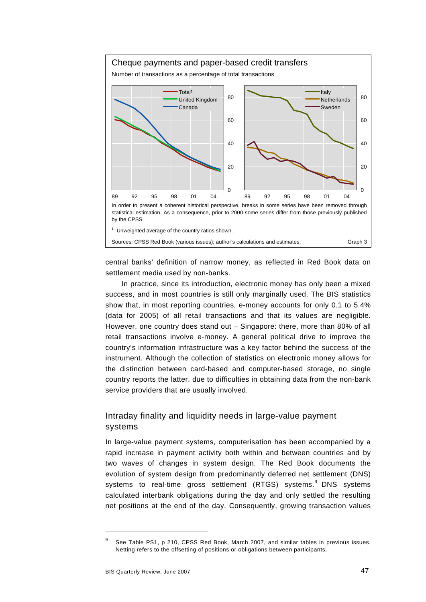

central banks' definition of narrow money, as reflected in Red Book data on settlement media used by non-banks.

In practice, since its introduction, electronic money has only been a mixed success, and in most countries is still only marginally used. The BIS statistics show that, in most reporting countries, e-money accounts for only 0.1 to 5.4% (data for 2005) of all retail transactions and that its values are negligible. However, one country does stand out – Singapore: there, more than 80% of all retail transactions involve e-money. A general political drive to improve the country's information infrastructure was a key factor behind the success of the instrument. Although the collection of statistics on electronic money allows for the distinction between card-based and computer-based storage, no single country reports the latter, due to difficulties in obtaining data from the non-bank service providers that are usually involved.

# Intraday finality and liquidity needs in large-value payment systems

In large-value payment systems, computerisation has been accompanied by a rapid increase in payment activity both within and between countries and by two waves of changes in system design. The Red Book documents the evolution of system design from predominantly deferred net settlement (DNS) systems to real-time gross settlement (RTGS) systems.<sup>[9](#page-6-0)</sup> DNS systems calculated interbank obligations during the day and only settled the resulting net positions at the end of the day. Consequently, growing transaction values

-

<span id="page-6-0"></span><sup>9</sup> See Table PS1, p 210, CPSS Red Book, March 2007, and similar tables in previous issues. Netting refers to the offsetting of positions or obligations between participants.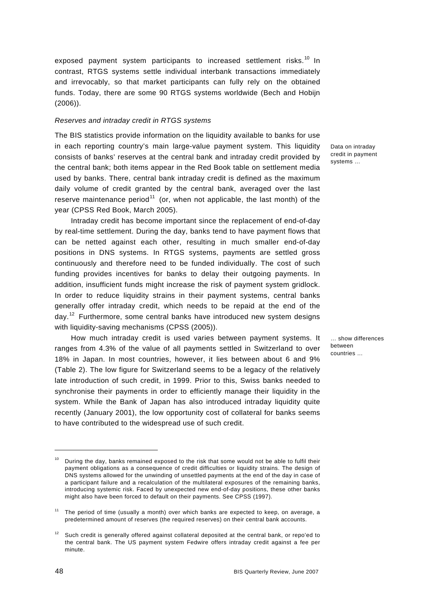exposed payment system participants to increased settlement risks.<sup>[1](#page-7-0)0</sup> In contrast, RTGS systems settle individual interbank transactions immediately and irrevocably, so that market participants can fully rely on the obtained funds. Today, there are some 90 RTGS systems worldwide (Bech and Hobijn (2006)).

# *Reserves and intraday credit in RTGS systems*

The BIS statistics provide information on the liquidity available to banks for use in each reporting country's main large-value payment system. This liquidity consists of banks' reserves at the central bank and intraday credit provided by the central bank; both items appear in the Red Book table on settlement media used by banks. There, central bank intraday credit is defined as the maximum daily volume of credit granted by the central bank, averaged over the last reserve maintenance period<sup>[11](#page-7-1)</sup> (or, when not applicable, the last month) of the year (CPSS Red Book, March 2005).

Intraday credit has become important since the replacement of end-of-day by real-time settlement. During the day, banks tend to have payment flows that can be netted against each other, resulting in much smaller end-of-day positions in DNS systems. In RTGS systems, payments are settled gross continuously and therefore need to be funded individually. The cost of such funding provides incentives for banks to delay their outgoing payments. In addition, insufficient funds might increase the risk of payment system gridlock. In order to reduce liquidity strains in their payment systems, central banks generally offer intraday credit, which needs to be repaid at the end of the day.<sup>[12](#page-7-2)</sup> Furthermore, some central banks have introduced new system designs with liquidity-saving mechanisms (CPSS (2005)).

How much intraday credit is used varies between payment systems. It ranges from 4.3% of the value of all payments settled in Switzerland to over 18% in Japan. In most countries, however, it lies between about 6 and 9% (Table 2). The low figure for Switzerland seems to be a legacy of the relatively late introduction of such credit, in 1999. Prior to this, Swiss banks needed to synchronise their payments in order to efficiently manage their liquidity in the system. While the Bank of Japan has also introduced intraday liquidity quite recently (January 2001), the low opportunity cost of collateral for banks seems to have contributed to the widespread use of such credit.

Data on intraday credit in payment systems …

… show differences between countries …

1

<span id="page-7-0"></span> $10$  During the day, banks remained exposed to the risk that some would not be able to fulfil their payment obligations as a consequence of credit difficulties or liquidity strains. The design of DNS systems allowed for the unwinding of unsettled payments at the end of the day in case of a participant failure and a recalculation of the multilateral exposures of the remaining banks, introducing systemic risk. Faced by unexpected new end-of-day positions, these other banks might also have been forced to default on their payments. See CPSS (1997).

<span id="page-7-1"></span><sup>&</sup>lt;sup>11</sup> The period of time (usually a month) over which banks are expected to keep, on average, a predetermined amount of reserves (the required reserves) on their central bank accounts.

<span id="page-7-2"></span>Such credit is generally offered against collateral deposited at the central bank, or repo'ed to the central bank. The US payment system Fedwire offers intraday credit against a fee per minute.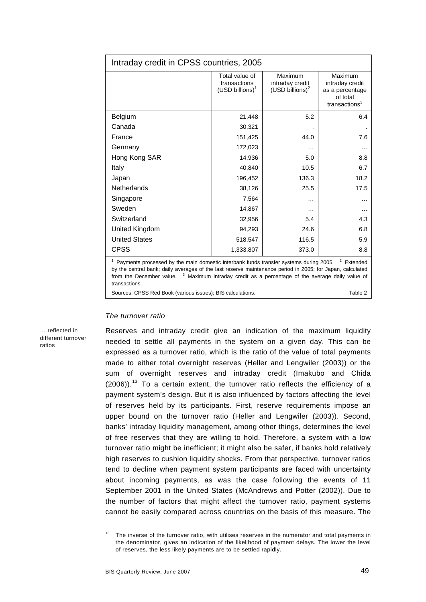| Intraday credit in CPSS countries, 2005                                                                                                                                                                                                                                                                                                                 |                                                       |                                                  |                                                                               |  |  |
|---------------------------------------------------------------------------------------------------------------------------------------------------------------------------------------------------------------------------------------------------------------------------------------------------------------------------------------------------------|-------------------------------------------------------|--------------------------------------------------|-------------------------------------------------------------------------------|--|--|
|                                                                                                                                                                                                                                                                                                                                                         | Total value of<br>transactions<br>$(USD\;billions)^1$ | Maximum<br>intraday credit<br>$(USD\;billions)2$ | Maximum<br>intraday credit<br>as a percentage<br>of total<br>transactions $3$ |  |  |
| Belgium                                                                                                                                                                                                                                                                                                                                                 | 21,448                                                | 5.2                                              | 6.4                                                                           |  |  |
| Canada                                                                                                                                                                                                                                                                                                                                                  | 30,321                                                |                                                  |                                                                               |  |  |
| France                                                                                                                                                                                                                                                                                                                                                  | 151,425                                               | 44.0                                             | 7.6                                                                           |  |  |
| Germany                                                                                                                                                                                                                                                                                                                                                 | 172,023                                               | .                                                |                                                                               |  |  |
| Hong Kong SAR                                                                                                                                                                                                                                                                                                                                           | 14,936                                                | 5.0                                              | 8.8                                                                           |  |  |
| Italy                                                                                                                                                                                                                                                                                                                                                   | 40,840                                                | 10.5                                             | 6.7                                                                           |  |  |
| Japan                                                                                                                                                                                                                                                                                                                                                   | 196,452                                               | 136.3                                            | 18.2                                                                          |  |  |
| <b>Netherlands</b>                                                                                                                                                                                                                                                                                                                                      | 38,126                                                | 25.5                                             | 17.5                                                                          |  |  |
| Singapore                                                                                                                                                                                                                                                                                                                                               | 7,564                                                 | .                                                |                                                                               |  |  |
| Sweden                                                                                                                                                                                                                                                                                                                                                  | 14,867                                                | $\cdots$                                         |                                                                               |  |  |
| Switzerland                                                                                                                                                                                                                                                                                                                                             | 32,956                                                | 5.4                                              | 4.3                                                                           |  |  |
| United Kingdom                                                                                                                                                                                                                                                                                                                                          | 94,293                                                | 24.6                                             | 6.8                                                                           |  |  |
| <b>United States</b>                                                                                                                                                                                                                                                                                                                                    | 518,547                                               | 116.5                                            | 5.9                                                                           |  |  |
| <b>CPSS</b>                                                                                                                                                                                                                                                                                                                                             | 1,333,807                                             | 373.0                                            | 8.8                                                                           |  |  |
| <sup>1</sup> Payments processed by the main domestic interbank funds transfer systems during 2005.<br><sup>2</sup> Extended<br>by the central bank; daily averages of the last reserve maintenance period in 2005; for Japan, calculated<br>from the December value. <sup>3</sup> Maximum intraday credit as a percentage of the average daily value of |                                                       |                                                  |                                                                               |  |  |

transactions. Sources: CPSS Red Book (various issues); BIS calculations. The matrix of the 2 minutes of the 2

#### *The turnover ratio*

… reflected in different turnover ratios

Reserves and intraday credit give an indication of the maximum liquidity needed to settle all payments in the system on a given day. This can be expressed as a turnover ratio, which is the ratio of the value of total payments made to either total overnight reserves (Heller and Lengwiler (2003)) or the sum of overnight reserves and intraday credit (Imakubo and Chida  $(2006)$ ).<sup>[13](#page-8-0)</sup> To a certain extent, the turnover ratio reflects the efficiency of a payment system's design. But it is also influenced by factors affecting the level of reserves held by its participants. First, reserve requirements impose an upper bound on the turnover ratio (Heller and Lengwiler (2003)). Second, banks' intraday liquidity management, among other things, determines the level of free reserves that they are willing to hold. Therefore, a system with a low turnover ratio might be inefficient; it might also be safer, if banks hold relatively high reserves to cushion liquidity shocks. From that perspective, turnover ratios tend to decline when payment system participants are faced with uncertainty about incoming payments, as was the case following the events of 11 September 2001 in the United States (McAndrews and Potter (2002)). Due to the number of factors that might affect the turnover ratio, payment systems cannot be easily compared across countries on the basis of this measure. The

1

<span id="page-8-0"></span><sup>&</sup>lt;sup>13</sup> The inverse of the turnover ratio, with utilises reserves in the numerator and total payments in the denominator, gives an indication of the likelihood of payment delays. The lower the level of reserves, the less likely payments are to be settled rapidly.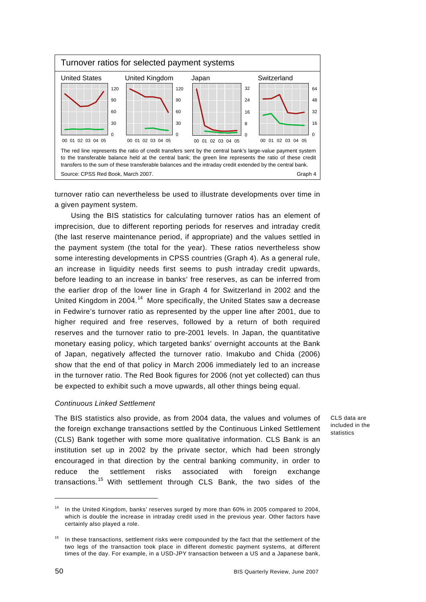

turnover ratio can nevertheless be used to illustrate developments over time in a given payment system.

Using the BIS statistics for calculating turnover ratios has an element of imprecision, due to different reporting periods for reserves and intraday credit (the last reserve maintenance period, if appropriate) and the values settled in the payment system (the total for the year). These ratios nevertheless show some interesting developments in CPSS countries (Graph 4). As a general rule, an increase in liquidity needs first seems to push intraday credit upwards, before leading to an increase in banks' free reserves, as can be inferred from the earlier drop of the lower line in Graph 4 for Switzerland in 2002 and the United Kingdom in 2004.<sup>[1](#page-9-0)4</sup> More specifically, the United States saw a decrease in Fedwire's turnover ratio as represented by the upper line after 2001, due to higher required and free reserves, followed by a return of both required reserves and the turnover ratio to pre-2001 levels. In Japan, the quantitative monetary easing policy, which targeted banks' overnight accounts at the Bank of Japan, negatively affected the turnover ratio. Imakubo and Chida (2006) show that the end of that policy in March 2006 immediately led to an increase in the turnover ratio. The Red Book figures for 2006 (not yet collected) can thus be expected to exhibit such a move upwards, all other things being equal.

### *Continuous Linked Settlement*

The BIS statistics also provide, as from 2004 data, the values and volumes of the foreign exchange transactions settled by the Continuous Linked Settlement (CLS) Bank together with some more qualitative information. CLS Bank is an institution set up in 2002 by the private sector, which had been strongly encouraged in that direction by the central banking community, in order to reduce the settlement risks associated with foreign exchange transactions.[15](#page-9-1) With settlement through CLS Bank, the two sides of the

CLS data are included in the statistics

l

<span id="page-9-0"></span><sup>14</sup> In the United Kingdom, banks' reserves surged by more than 60% in 2005 compared to 2004, which is double the increase in intraday credit used in the previous year. Other factors have certainly also played a role.

<span id="page-9-1"></span>In these transactions, settlement risks were compounded by the fact that the settlement of the two legs of the transaction took place in different domestic payment systems, at different times of the day. For example, in a USD-JPY transaction between a US and a Japanese bank,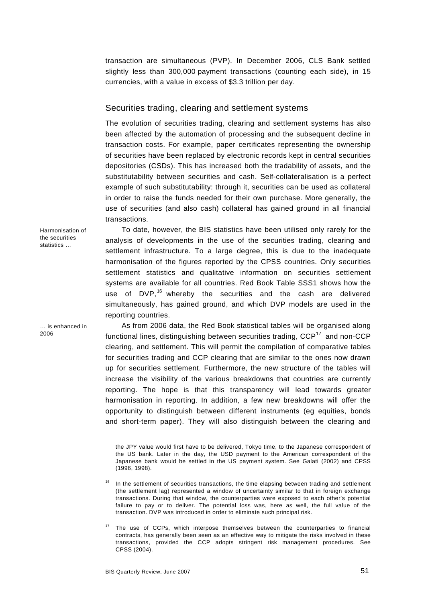transaction are simultaneous (PVP). In December 2006, CLS Bank settled slightly less than 300,000 payment transactions (counting each side), in 15 currencies, with a value in excess of \$3.3 trillion per day.

# Securities trading, clearing and settlement systems

The evolution of securities trading, clearing and settlement systems has also been affected by the automation of processing and the subsequent decline in transaction costs. For example, paper certificates representing the ownership of securities have been replaced by electronic records kept in central securities depositories (CSDs). This has increased both the tradability of assets, and the substitutability between securities and cash. Self-collateralisation is a perfect example of such substitutability: through it, securities can be used as collateral in order to raise the funds needed for their own purchase. More generally, the use of securities (and also cash) collateral has gained ground in all financial transactions.

Harmonisation of the securities statistics …

… is enhanced in 2006

-

To date, however, the BIS statistics have been utilised only rarely for the analysis of developments in the use of the securities trading, clearing and settlement infrastructure. To a large degree, this is due to the inadequate harmonisation of the figures reported by the CPSS countries. Only securities settlement statistics and qualitative information on securities settlement systems are available for all countries. Red Book Table SSS1 shows how the use of DVP,<sup>[16](#page-10-0)</sup> whereby the securities and the cash are delivered simultaneously, has gained ground, and which DVP models are used in the reporting countries.

As from 2006 data, the Red Book statistical tables will be organised along functional lines, distinguishing between securities trading,  $CCP<sup>17</sup>$  $CCP<sup>17</sup>$  $CCP<sup>17</sup>$  and non-CCP clearing, and settlement. This will permit the compilation of comparative tables for securities trading and CCP clearing that are similar to the ones now drawn up for securities settlement. Furthermore, the new structure of the tables will increase the visibility of the various breakdowns that countries are currently reporting. The hope is that this transparency will lead towards greater harmonisation in reporting. In addition, a few new breakdowns will offer the opportunity to distinguish between different instruments (eg equities, bonds and short-term paper). They will also distinguish between the clearing and

the JPY value would first have to be delivered, Tokyo time, to the Japanese correspondent of the US bank. Later in the day, the USD payment to the American correspondent of the Japanese bank would be settled in the US payment system. See Galati (2002) and CPSS (1996, 1998).

<span id="page-10-0"></span><sup>16</sup> In the settlement of securities transactions, the time elapsing between trading and settlement (the settlement lag) represented a window of uncertainty similar to that in foreign exchange transactions. During that window, the counterparties were exposed to each other's potential failure to pay or to deliver. The potential loss was, here as well, the full value of the transaction. DVP was introduced in order to eliminate such principal risk.

<span id="page-10-1"></span><sup>&</sup>lt;sup>17</sup> The use of CCPs, which interpose themselves between the counterparties to financial contracts, has generally been seen as an effective way to mitigate the risks involved in these transactions, provided the CCP adopts stringent risk management procedures. See CPSS (2004).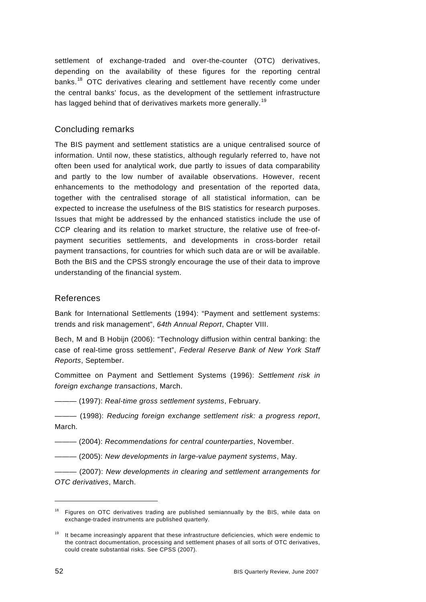settlement of exchange-traded and over-the-counter (OTC) derivatives, depending on the availability of these figures for the reporting central banks.<sup>[18](#page-11-0)</sup> OTC derivatives clearing and settlement have recently come under the central banks' focus, as the development of the settlement infrastructure has lagged behind that of derivatives markets more generally.<sup>[19](#page-11-1)</sup>

# Concluding remarks

The BIS payment and settlement statistics are a unique centralised source of information. Until now, these statistics, although regularly referred to, have not often been used for analytical work, due partly to issues of data comparability and partly to the low number of available observations. However, recent enhancements to the methodology and presentation of the reported data, together with the centralised storage of all statistical information, can be expected to increase the usefulness of the BIS statistics for research purposes. Issues that might be addressed by the enhanced statistics include the use of CCP clearing and its relation to market structure, the relative use of free-ofpayment securities settlements, and developments in cross-border retail payment transactions, for countries for which such data are or will be available. Both the BIS and the CPSS strongly encourage the use of their data to improve understanding of the financial system.

# References

Bank for International Settlements (1994): "Payment and settlement systems: trends and risk management", *64th Annual Report*, Chapter VIII.

Bech, M and B Hobijn (2006): "Technology diffusion within central banking: the case of real-time gross settlement", *Federal Reserve Bank of New York Staff Reports*, September.

Committee on Payment and Settlement Systems (1996): *Settlement risk in foreign exchange transactions*, March.

——— (1997): *Real-time gross settlement systems*, February.

——— (1998): *Reducing foreign exchange settlement risk: a progress report*, March.

——— (2004): *Recommendations for central counterparties*, November.

——— (2005): *New developments in large-value payment systems*, May.

 $-$  (2007): New developments in clearing and settlement arrangements for *OTC derivatives*, March.

1

<span id="page-11-0"></span><sup>&</sup>lt;sup>18</sup> Figures on OTC derivatives trading are published semiannually by the BIS, while data on exchange-traded instruments are published quarterly.

<span id="page-11-1"></span><sup>&</sup>lt;sup>19</sup> It became increasingly apparent that these infrastructure deficiencies, which were endemic to the contract documentation, processing and settlement phases of all sorts of OTC derivatives, could create substantial risks. See CPSS (2007).